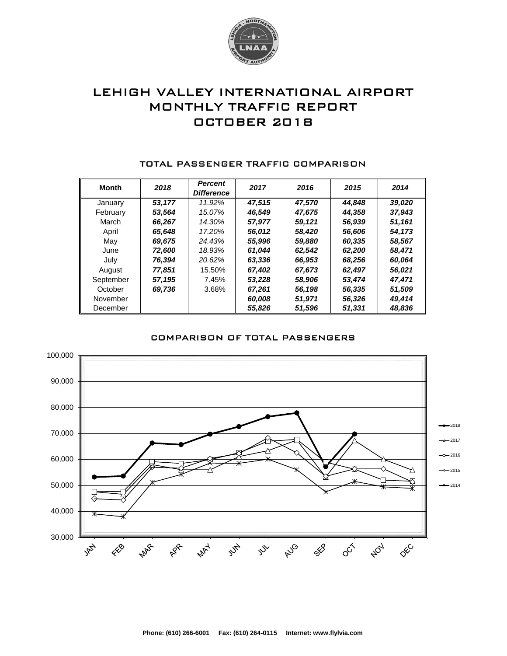

# LEHIGH VALLEY INTERNATIONAL AIRPORT MONTHLY TRAFFIC REPORT OCTOBER 2018

| <b>Month</b> | 2018   | <b>Percent</b><br><b>Difference</b> | 2017   | 2016   | 2015   | 2014   |
|--------------|--------|-------------------------------------|--------|--------|--------|--------|
| January      | 53.177 | 11.92%                              | 47.515 | 47,570 | 44.848 | 39,020 |
| February     | 53,564 | 15.07%                              | 46.549 | 47,675 | 44.358 | 37,943 |
| March        | 66,267 | 14.30%                              | 57,977 | 59,121 | 56,939 | 51,161 |
| April        | 65,648 | 17.20%                              | 56,012 | 58,420 | 56,606 | 54,173 |
| May          | 69,675 | 24.43%                              | 55,996 | 59,880 | 60,335 | 58,567 |
| June         | 72,600 | 18.93%                              | 61.044 | 62,542 | 62,200 | 58,471 |
| July         | 76,394 | 20.62%                              | 63,336 | 66,953 | 68,256 | 60,064 |
| August       | 77,851 | 15.50%                              | 67.402 | 67,673 | 62,497 | 56,021 |
| September    | 57,195 | 7.45%                               | 53.228 | 58,906 | 53,474 | 47,471 |
| October      | 69,736 | 3.68%                               | 67,261 | 56,198 | 56,335 | 51,509 |
| November     |        |                                     | 60,008 | 51,971 | 56,326 | 49,414 |
| December     |        |                                     | 55,826 | 51,596 | 51,331 | 48,836 |

#### TOTAL PASSENGER TRAFFIC COMPARISON

### COMPARISON OF TOTAL PASSENGERS

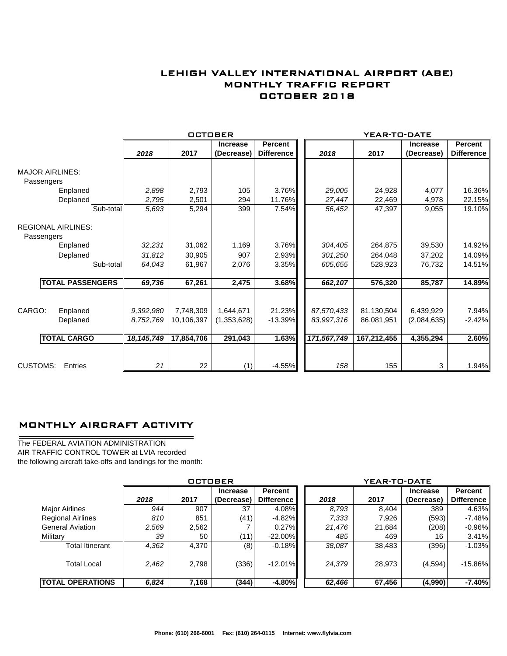## LEHIGH VALLEY INTERNATIONAL AIRPORT (ABE) MONTHLY TRAFFIC REPORT OCTOBER 2018

|                           |                         |              | OCTOBER    |                 |                   |             | YEAR-TO-DATE |                 |                   |
|---------------------------|-------------------------|--------------|------------|-----------------|-------------------|-------------|--------------|-----------------|-------------------|
|                           |                         |              |            | <b>Increase</b> | <b>Percent</b>    |             |              | <b>Increase</b> | Percent           |
|                           |                         | 2018         | 2017       | (Decrease)      | <b>Difference</b> | 2018        | 2017         | (Decrease)      | <b>Difference</b> |
| <b>MAJOR AIRLINES:</b>    |                         |              |            |                 |                   |             |              |                 |                   |
| Passengers                |                         |              |            |                 |                   |             |              |                 |                   |
|                           | Enplaned                | 2,898        | 2,793      | 105             | 3.76%             | 29,005      | 24,928       | 4,077           | 16.36%            |
|                           | Deplaned                | 2,795        | 2,501      | 294             | 11.76%            | 27,447      | 22,469       | 4,978           | 22.15%            |
|                           | Sub-total               | 5,693        | 5,294      | 399             | 7.54%             | 56,452      | 47,397       | 9,055           | 19.10%            |
| <b>REGIONAL AIRLINES:</b> |                         |              |            |                 |                   |             |              |                 |                   |
| Passengers                | Enplaned                | 32,231       | 31,062     | 1,169           | 3.76%             | 304,405     | 264,875      | 39,530          | 14.92%            |
|                           | Deplaned                | 31,812       | 30,905     | 907             | 2.93%             | 301,250     | 264,048      | 37,202          | 14.09%            |
|                           | Sub-total               | 64,043       | 61,967     | 2,076           | 3.35%             | 605,655     | 528,923      | 76,732          | 14.51%            |
|                           | <b>TOTAL PASSENGERS</b> | 69,736       | 67,261     | 2,475           | 3.68%             | 662,107     | 576,320      | 85,787          | 14.89%            |
|                           |                         |              |            |                 |                   |             |              |                 |                   |
| CARGO:                    | Enplaned                | 9,392,980    | 7,748,309  | 1,644,671       | 21.23%            | 87,570,433  | 81,130,504   | 6,439,929       | 7.94%             |
|                           | Deplaned                | 8.752.769    | 10,106,397 | (1,353,628)     | $-13.39%$         | 83,997,316  | 86,081,951   | (2,084,635)     | $-2.42%$          |
|                           | <b>TOTAL CARGO</b>      | 18, 145, 749 | 17,854,706 | 291,043         | 1.63%             | 171,567,749 | 167,212,455  | 4,355,294       | 2.60%             |
|                           |                         |              |            |                 |                   |             |              |                 |                   |
| <b>CUSTOMS:</b>           | Entries                 | 21           | 22         | (1)             | $-4.55%$          | 158         | 155          | 3               | 1.94%             |

### MONTHLY AIRCRAFT ACTIVITY

The FEDERAL AVIATION ADMINISTRATION AIR TRAFFIC CONTROL TOWER at LVIA recorded the following aircraft take-offs and landings for the month:

÷.

|                          | <b>OCTOBER</b> |       |                               |                                     |  | YEAR-TO-DATE |        |                               |                       |  |  |
|--------------------------|----------------|-------|-------------------------------|-------------------------------------|--|--------------|--------|-------------------------------|-----------------------|--|--|
|                          | 2018           | 2017  | <b>Increase</b><br>(Decrease) | <b>Percent</b><br><b>Difference</b> |  | 2018         | 2017   | <b>Increase</b><br>(Decrease) | Percent<br>Difference |  |  |
| <b>Major Airlines</b>    | 944            | 907   | 37                            | 4.08%                               |  | 8.793        | 8,404  | 389                           | 4.63%                 |  |  |
| <b>Regional Airlines</b> | 810            | 851   | (41)                          | $-4.82\%$                           |  | 7,333        | 7,926  | (593)                         | $-7.48%$              |  |  |
| <b>General Aviation</b>  | 2,569          | 2,562 |                               | $0.27\%$                            |  | 21,476       | 21,684 | (208)                         | $-0.96%$              |  |  |
| Military                 | 39             | 50    | (11)                          | $-22.00\%$                          |  | 485          | 469    | 16                            | 3.41%                 |  |  |
| <b>Total Itinerant</b>   | 4,362          | 4,370 | (8)                           | $-0.18\%$                           |  | 38,087       | 38,483 | (396)                         | $-1.03%$              |  |  |
| <b>Total Local</b>       | 2,462          | 2,798 | (336)                         | $-12.01\%$                          |  | 24,379       | 28,973 | (4,594)                       | $-15.86%$             |  |  |
| <b>TOTAL OPERATIONS</b>  | 6,824          | 7,168 | (344)                         | $-4.80\%$                           |  | 62,466       | 67,456 | (4,990)                       | $-7.40%$              |  |  |